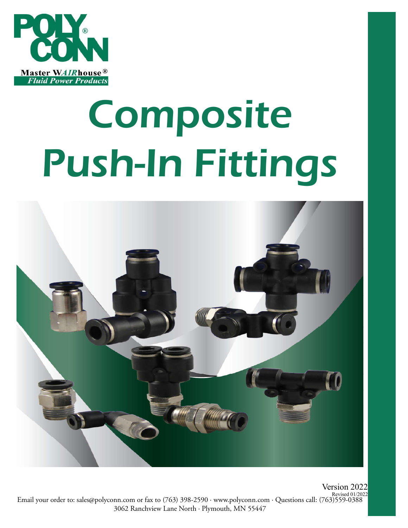

# Composite Push-In Fittings



Revised 01/2022<br>Email your order to: sales@polyconn.com or fax to (763) 398-2590 · www.polyconn.com · Questions call: (763)559-0388 3062 Ranchview Lane North . Plymouth, MN 55447 Version 2022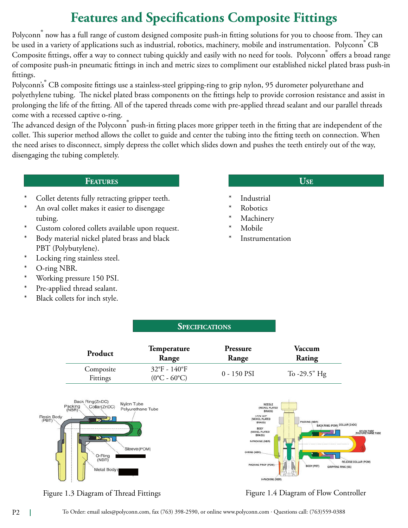# **Features and Specifications Composite Fittings**

Polyconn<sup>®</sup> now has a full range of custom designed composite push-in fitting solutions for you to choose from. They can be used in a variety of applications such as industrial, robotics, machinery, mobile and instrumentation. Polyconn<sup>®</sup> CB Composite fittings, offer a way to connect tubing quickly and easily with no need for tools. Polyconn® offers a broad range of composite push-in pneumatic ttings in inch and metric sizes to compliment our established nickel plated brass push-in fittings.

Polyconn's<sup>®</sup> CB composite fittings use a stainless-steel gripping-ring to grip nylon, 95 durometer polyurethane and polyethylene tubing. The nickel plated brass components on the fittings help to provide corrosion resistance and assist in prolonging the life of the fitting. All of the tapered threads come with pre-applied thread sealant and our parallel threads come with a recessed captive o-ring.

The advanced design of the Polyconn<sup>®</sup> push-in fitting places more gripper teeth in the fitting that are independent of the collet. This superior method allows the collet to guide and center the tubing into the fitting teeth on connection. When the need arises to disconnect, simply depress the collet which slides down and pushes the teeth entirely out of the way, disengaging the tubing completely.

#### Features

- Collet detents fully retracting gripper teeth.
- An oval collet makes it easier to disengage tubing.
- Custom colored collets available upon request.
- Body material nickel plated brass and black PBT (Polybutylene).
- \* Locking ring stainless steel.
- O-ring NBR.
- Working pressure 150 PSI.
- Pre-applied thread sealant.
- \* Black collets for inch style.

#### $$

- **Industrial**
- **Robotics**
- **Machinery**
- Mobile
- **Instrumentation**

| Product               | Temperature                                                  | Pressure    | Vaccum          |
|-----------------------|--------------------------------------------------------------|-------------|-----------------|
|                       | Range                                                        | Range       | <b>Rating</b>   |
| Composite<br>Fittings | $32^{\circ}F - 140^{\circ}F$<br>$(0^{\circ}C - 60^{\circ}C)$ | 0 - 150 PSI | To $-29.5$ " Hg |

**SPECIFICATIONS** 



Figure 1.3 Diagram of Thread Fittings Figure 1.4 Diagram of Flow Controller

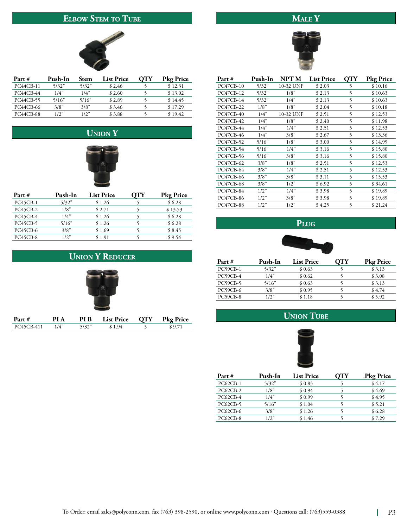### ELBOW STEM TO TUBE

## $\overline{\text{MALE Y}}$



| Part #           | Push-In | <b>Stem</b> | <b>List Price</b> | OTY | <b>Pkg Price</b> |
|------------------|---------|-------------|-------------------|-----|------------------|
| <b>PC44CB-11</b> | 5/32"   | 5/32"       | \$2.46            |     | \$12.31          |
| PC44CB-44        | 1/4"    | 1/4"        | \$2.60            |     | \$13.02          |
| PC44CB-55        | 5/16"   | 5/16"       | \$2.89            |     | \$14.45          |
| PC44CB-66        | 3/8"    | 3/8"        | \$ 3.46           |     | \$17.29          |
| <b>PC44CB-88</b> | 1/2"    | 1/2"        | \$3.88            |     | \$19.42          |

## **UNION Y**



| Part #          | Push-In | <b>List Price</b> | ΟТΥ | <b>Pkg Price</b> |
|-----------------|---------|-------------------|-----|------------------|
| PC45CB-1        | 5/32"   | \$1.26            |     | \$6.28           |
| PC45CB-2        | 1/8"    | \$2.71            |     | \$13.53          |
| PC45CB-4        | 1/4"    | \$1.26            |     | \$6.28           |
| PC45CB-5        | 5/16"   | \$1.26            |     | \$6.28           |
| <b>PC45CB-6</b> | 3/8"    | \$1.69            |     | \$8.45           |
| PC45CB-8        | $1/2$ " | \$1.91            |     | \$9.54           |

### **UNION Y REDUCER**



| Part #           | Push-In | NPT M     | <b>List Price</b> | <b>QTY</b> | <b>Pkg Price</b> |
|------------------|---------|-----------|-------------------|------------|------------------|
| <b>PC47CB-10</b> | 5/32"   | 10-32 UNF | \$2.03            | 5          | \$10.16          |
| <b>PC47CB-12</b> | 5/32"   | 1/8"      | \$2.13            | 5          | \$10.63          |
| <b>PC47CB-14</b> | 5/32"   | 1/4"      | \$2.13            | 5          | \$10.63          |
| <b>PC47CB-22</b> | 1/8"    | 1/8"      | \$2.04            | 5          | \$10.18          |
| <b>PC47CB-40</b> | 1/4"    | 10-32 UNF | \$2.51            | 5          | \$12.53          |
| <b>PC47CB-42</b> | 1/4"    | 1/8"      | \$2.40            | 5          | \$11.98          |
| PC47CB-44        | 1/4"    | 1/4"      | \$2.51            | 5          | \$12.53          |
| <b>PC47CB-46</b> | 1/4"    | 3/8"      | \$2.67            | 5          | \$13.36          |
| <b>PC47CB-52</b> | 5/16"   | 1/8"      | \$ 3.00           | 5          | \$14.99          |
| <b>PC47CB-54</b> | 5/16"   | 1/4"      | \$ 3.16           | 5          | \$15.80          |
| <b>PC47CB-56</b> | 5/16"   | 3/8"      | \$ 3.16           | 5          | \$15.80          |
| <b>PC47CB-62</b> | 3/8"    | 1/8"      | \$2.51            | 5          | \$12.53          |
| <b>PC47CB-64</b> | 3/8"    | 1/4"      | \$2.51            | 5          | \$12.53          |
| <b>PC47CB-66</b> | 3/8"    | 3/8"      | \$3.11            | 5          | \$15.53          |
| <b>PC47CB-68</b> | 3/8"    | 1/2"      | \$ 6.92           | 5          | \$34.61          |
| <b>PC47CB-84</b> | 1/2"    | 1/4"      | \$ 3.98           | 5          | \$19.89          |
| PC47CB-86        | 1/2"    | 3/8"      | \$ 3.98           | 5          | \$19.89          |
| <b>PC47CB-88</b> | 1/2"    | 1/2"      | \$4.25            | 5          | \$21.24          |





| Part #          | Push-In | <b>List Price</b> | <b>Pkg Price</b> |
|-----------------|---------|-------------------|------------------|
| PC59CB-1        | 5/32"   | \$0.63            | \$3.13           |
| PC59CB-4        | 1/4"    | \$0.62            | \$3.08           |
| <b>PC59CB-5</b> | 5/16"   | \$0.63            | \$3.13           |
| PC59CB-6        | 3/8"    | \$0.95            | \$4.74           |
| PC59CB-8        | 1/2"    | \$1.18            | \$5.92           |





| Part #          | Push-In | <b>List Price</b> | ΟТΥ | <b>Pkg Price</b> |
|-----------------|---------|-------------------|-----|------------------|
| $PC62CB-1$      | 5/32"   | \$0.83            |     | \$4.17           |
| $PC62CB-2$      | 1/8"    | \$0.94            |     | \$4.69           |
| <b>PC62CB-4</b> | 1/4"    | \$0.99            |     | \$4.95           |
| <b>PC62CB-5</b> | 5/16"   | \$1.04            |     | \$5.21           |
| <b>PC62CB-6</b> | 3/8"    | \$1.26            |     | \$6.28           |
| PC62CB-8        | $1/2$ " | \$1.46            |     | \$7.29           |
|                 |         |                   |     |                  |



1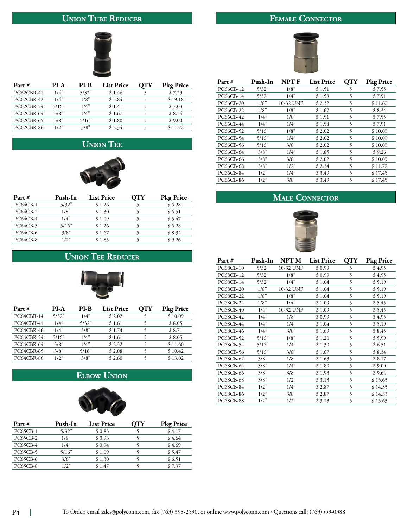## **UNION TUBE REDUCER**

## FEMALE CONNECTOR



| Part #            | PI-A  | PI-B  | <b>List Price</b> | <b>OTY</b> | <b>Pkg Price</b> |
|-------------------|-------|-------|-------------------|------------|------------------|
| PC62CBR-41        | 1/4"  | 5/32" | \$1.46            |            | \$7.29           |
| PC62CBR-42        | 1/4"  | 1/8"  | \$3.84            |            | \$19.18          |
| PC62CBR-54        | 5/16" | 1/4"  | \$1.41            |            | \$7.03           |
| PC62CBR-64        | 3/8"  | 1/4"  | \$1.67            |            | \$8.34           |
| <b>PC62CBR-65</b> | 3/8"  | 5/16" | \$1.80            |            | \$9.00           |
| PC62CBR-86        | 1/2"  | 3/8"  | \$2.34            |            | \$11.72          |

## **UNION TEE**



| Part #   | Push-In | <b>List Price</b> | ΟТΥ | <b>Pkg Price</b> |
|----------|---------|-------------------|-----|------------------|
| PC64CB-1 | 5/32"   | \$1.26            |     | \$6.28           |
| PC64CB-2 | 1/8"    | \$1.30            |     | \$6.51           |
| PC64CB-4 | 1/4"    | \$1.09            |     | \$5.47           |
| PC64CB-5 | 5/16"   | \$1.26            |     | \$6.28           |
| PC64CB-6 | 3/8"    | \$1.67            |     | \$8.34           |
| PC64CB-8 | 1/2"    | \$1.85            |     | \$9.26           |

#### **UNION TEE REDUCER**



| Part #     | PI-A  | PI-B  | <b>List Price</b> | OTY | <b>Pkg Price</b> |
|------------|-------|-------|-------------------|-----|------------------|
| PC64CBR-14 | 5/32" | 1/4"  | \$2.02            |     | \$10.09          |
| PC64CBR-41 | 1/4"  | 5/32" | \$1.61            |     | \$8.05           |
| PC64CBR-46 | 1/4"  | 3/8"  | \$1.74            |     | \$8.71           |
| PC64CBR-54 | 5/16" | 1/4"  | \$1.61            |     | \$8.05           |
| PC64CBR-64 | 3/8"  | 1/4"  | \$2.32            |     | \$11.60          |
| PC64CBR-65 | 3/8"  | 5/16" | \$2.08            |     | \$10.42          |
| PC64CBR-86 | 1/2"  | 3/8"  | \$2.60            |     | \$13.02          |
|            |       |       |                   |     |                  |

## **ELBOW UNION**



| Part #          | Push-In | <b>List Price</b> | ЭTY | <b>Pkg Price</b> |
|-----------------|---------|-------------------|-----|------------------|
| <b>PC65CB-1</b> | 5/32"   | \$0.83            |     | \$4.17           |
| PC65CB-2        | 1/8"    | \$0.93            |     | \$4.64           |
| PC65CB-4        | 1/4"    | \$0.94            |     | \$4.69           |
| <b>PC65CB-5</b> | 5/16"   | \$1.09            |     | \$5.47           |
| PC65CB-6        | 3/8"    | \$1.30            |     | \$6.51           |
| PC65CB-8        | 1/2"    | \$1.47            |     | \$7.37           |



| Part #           | Push-In | NPT F     | <b>List Price</b> | OTY | <b>Pkg Price</b> |
|------------------|---------|-----------|-------------------|-----|------------------|
| PC66CB-12        | 5/32"   | 1/8"      | \$1.51            | 5   | \$7.55           |
| <b>PC66CB-14</b> | 5/32"   | 1/4"      | \$1.58            | 5   | \$7.91           |
| <b>PC66CB-20</b> | 1/8"    | 10-32 UNF | \$2.32            | 5   | \$11.60          |
| <b>PC66CB-22</b> | 1/8"    | 1/8"      | \$1.67            | 5   | \$8.34           |
| <b>PC66CB-42</b> | 1/4"    | 1/8"      | \$1.51            | 5   | \$7.55           |
| <b>PC66CB-44</b> | 1/4"    | 1/4"      | \$1.58            | 5   | \$7.91           |
| PC66CB-52        | 5/16"   | 1/8"      | \$2.02            | 5   | \$10.09          |
| PC66CB-54        | 5/16"   | 1/4"      | \$2.02            | 5   | \$10.09          |
| PC66CB-56        | 5/16"   | 3/8"      | \$2.02            | 5   | \$10.09          |
| PC66CB-64        | 3/8"    | 1/4"      | \$1.85            | 5   | \$9.26           |
| PC66CB-66        | 3/8"    | 3/8"      | \$2.02            | 5   | \$10.09          |
| <b>PC66CB-68</b> | 3/8"    | 1/2"      | \$2.34            | 5   | \$11.72          |
| PC66CB-84        | 1/2"    | 1/4"      | \$3.49            | 5   | \$17.45          |
| <b>PC66CB-86</b> | 1/2"    | 3/8"      | \$3.49            | 5   | \$17.45          |
|                  |         |           |                   |     |                  |

## MALE CONNECTOR



| Part #           | Push-In | NPT M     | <b>List Price</b> | <b>QTY</b> | <b>Pkg Price</b> |
|------------------|---------|-----------|-------------------|------------|------------------|
| PC68CB-10        | 5/32"   | 10-32 UNF | \$0.99            | 5          | \$4.95           |
| PC68CB-12        | 5/32"   | 1/8"      | \$0.99            | 5          | \$ 4.95          |
| PC68CB-14        | 5/32"   | 1/4"      | \$1.04            | 5          | \$5.19           |
| <b>PC68CB-20</b> | 1/8"    | 10-32 UNF | \$1.04            | 5          | \$5.19           |
| PC68CB-22        | 1/8"    | 1/8"      | \$1.04            | 5          | \$5.19           |
| PC68CB-24        | 1/8"    | 1/4"      | \$1.09            | 5          | \$5.45           |
| PC68CB-40        | 1/4"    | 10-32 UNF | \$1.09            | 5          | \$ 5.45          |
| PC68CB-42        | 1/4"    | 1/8"      | \$0.99            | 5          | \$4.95           |
| <b>PC68CB-44</b> | 1/4"    | 1/4"      | \$1.04            | 5          | \$5.19           |
| PC68CB-46        | 1/4"    | 3/8"      | \$1.69            | 5          | \$8.45           |
| PC68CB-52        | 5/16"   | 1/8"      | \$1.20            | 5          | \$5.99           |
| PC68CB-54        | 5/16"   | 1/4"      | \$1.30            | 5          | \$6.51           |
| PC68CB-56        | 5/16"   | 3/8"      | \$1.67            | 5          | \$8.34           |
| PC68CB-62        | 3/8"    | 1/8"      | \$1.63            | 5          | \$8.17           |
| PC68CB-64        | 3/8"    | 1/4"      | \$1.80            | 5          | \$9.00           |
| PC68CB-66        | 3/8"    | 3/8"      | \$1.93            | 5          | \$9.64           |
| PC68CB-68        | 3/8"    | 1/2"      | \$3.13            | 5          | \$15.63          |
| PC68CB-84        | 1/2"    | 1/4"      | \$2.87            | 5          | \$14.33          |
| <b>PC68CB-86</b> | 1/2"    | 3/8"      | \$2.87            | 5          | \$14.33          |
| PC68CB-88        | 1/2"    | 1/2"      | \$3.13            | 5          | \$15.63          |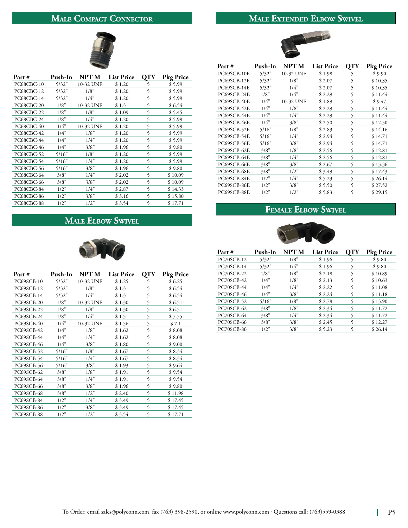## **MALE COMPACT CONNECTOR**

#### **MALE EXTENDED ELBOW SWIVEL**

WA



| Part #            | Push-In | <b>NPT M</b> | <b>List Price</b> | OTY | <b>Pkg Price</b> |
|-------------------|---------|--------------|-------------------|-----|------------------|
| PC68CBC-10        | 5/32"   | 10-32 UNF    | \$1.20            | 5   | \$5.99           |
| PC68CBC-12        | 5/32"   | 1/8"         | \$1.20            | 5   | \$5.99           |
| PC68CBC-14        | 5/32"   | 1/4"         | \$1.20            | 5   | \$ 5.99          |
| <b>PC68CBC-20</b> | 1/8"    | 10-32 UNF    | \$1.31            | 5   | \$6.54           |
| PC68CBC-22        | 1/8"    | 1/8"         | \$1.09            | 5   | \$5.45           |
| PC68CBC-24        | 1/8"    | 1/4"         | \$1.20            | 5   | \$5.99           |
| PC68CBC-40        | 1/4"    | 10-32 UNF    | \$1.20            | 5   | \$5.99           |
| PC68CBC-42        | 1/4"    | 1/8"         | \$1.20            | 5   | \$5.99           |
| PC68CBC-44        | 1/4"    | 1/4"         | \$1.20            | 5   | \$5.99           |
| PC68CBC-46        | 1/4"    | 3/8"         | \$1.96            | 5   | \$9.80           |
| PC68CBC-52        | 5/16"   | 1/8"         | \$1.20            | 5   | \$5.99           |
| PC68CBC-54        | 5/16"   | 1/4"         | \$1.20            | 5   | \$5.99           |
| <b>PC68CBC-56</b> | 5/16"   | 3/8"         | \$1.96            | 5   | \$9.80           |
| PC68CBC-64        | 3/8"    | 1/4"         | \$2.02            | 5   | \$10.09          |
| PC68CBC-66        | 3/8"    | 3/8"         | \$2.02            | 5   | \$10.09          |
| PC68CBC-84        | 1/2"    | 1/4"         | \$2.87            | 5   | \$14.33          |
| PC68CBC-86        | 1/2"    | 3/8"         | \$ 3.16           | 5   | \$15.80          |
| PC68CBC-88        | 1/2"    | 1/2"         | \$ 3.54           | 5   | \$17.71          |

#### **MALE ELBOW SWIVEL**



| Part #            | Push-In | NPT M     | <b>List Price</b> | QTY | <b>Pkg Price</b> |
|-------------------|---------|-----------|-------------------|-----|------------------|
| PC69SCB-10        | 5/32"   | 10-32 UNF | \$1.25            | 5   | \$6.25           |
| PC69SCB-12        | 5/32"   | 1/8"      | \$1.31            | 5   | \$6.54           |
| PC69SCB-14        | 5/32"   | 1/4"      | \$1.31            | 5   | \$6.54           |
| PC69SCB-20        | 1/8"    | 10-32 UNF | \$1.30            | 5   | \$6.51           |
| <b>PC69SCB-22</b> | 1/8"    | 1/8"      | \$1.30            | 5   | \$6.51           |
| PC69SCB-24        | 1/8"    | 1/4"      | \$1.51            | 5   | \$7.55           |
| PC69SCB-40        | 1/4"    | 10-32 UNF | \$1.56            | 5   | \$7.1            |
| PC69SCB-42        | 1/4"    | 1/8"      | \$1.62            | 5   | \$8.08           |
| PC69SCB-44        | 1/4"    | 1/4"      | \$1.62            | 5   | \$8.08           |
| PC69SCB-46        | 1/4"    | 3/8"      | \$1.80            | 5   | \$9.00           |
| PC69SCB-52        | 5/16"   | 1/8"      | \$1.67            | 5   | \$8.34           |
| PC69SCB-54        | 5/16"   | 1/4"      | \$1.67            | 5   | \$8.34           |
| PC69SCB-56        | 5/16"   | 3/8"      | \$1.93            | 5   | \$9.64           |
| <b>PC69SCB-62</b> | 3/8"    | 1/8"      | \$1.91            | 5   | \$9.54           |
| PC69SCB-64        | 3/8"    | 1/4"      | \$1.91            | 5   | \$9.54           |
| PC69SCB-66        | 3/8"    | 3/8"      | \$1.96            | 5   | \$9.80           |
| PC69SCB-68        | 3/8"    | 1/2"      | \$2.40            | 5   | \$11.98          |
| PC69SCB-84        | 1/2"    | 1/4"      | \$3.49            | 5   | \$17.45          |
| PC69SCB-86        | 1/2"    | 3/8"      | \$3.49            | 5   | \$17.45          |
| PC69SCB-88        | 1/2"    | 1/2"      | \$3.54            | 5   | \$17.71          |



#### **FEMALE ELBOW SWIVEL**



| Part #     | Push-In | NPT M | <b>List Price</b> | OTY | <b>Pkg Price</b> |
|------------|---------|-------|-------------------|-----|------------------|
| PC70SCB-12 | 5/32"   | 1/8"  | \$1.96            |     | \$9.80           |
| PC70SCB-14 | 5/32"   | 1/4"  | \$1.96            | 5   | \$9.80           |
| PC70SCB-22 | 1/8"    | 1/8"  | \$2.18            | 5   | \$10.89          |
| PC70SCB-42 | 1/4"    | 1/8"  | \$2.13            | 5   | \$10.63          |
| PC70SCB-44 | 1/4"    | 1/4"  | \$2.22            | 5   | \$11.08          |
| PC70SCB-46 | 1/4"    | 3/8"  | \$2.24            | 5   | \$11.18          |
| PC70SCB-52 | 5/16"   | 1/8"  | \$2.78            | 5   | \$13.90          |
| PC70SCB-62 | 3/8"    | 1/8"  | \$2.34            | 5   | \$11.72          |
| PC70SCB-64 | 3/8"    | 1/4"  | \$2.34            | 5   | \$11.72          |
| PC70SCB-66 | 3/8"    | 3/8"  | \$2.45            | 5   | \$12.27          |
| PC70SCB-86 | 1/2"    | 3/8"  | \$5.23            | 5   | \$26.14          |
|            |         |       |                   |     |                  |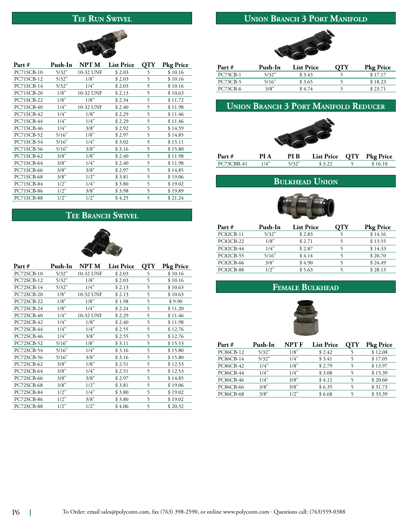#### TEE RUN SWIVEL

## **UNION BRANCH 3 PORT MANIFOLD**



| Part #            | Push-In | NPT M     | <b>List Price</b> | <b>OTY</b> | <b>Pkg Price</b> |
|-------------------|---------|-----------|-------------------|------------|------------------|
| PC71SCB-10        | 5/32"   | 10-32 UNF | \$2.03            | 5          | \$10.16          |
| PC71SCB-12        | 5/32"   | 1/8"      | \$2.03            | 5          | \$10.16          |
| PC71SCB-14        | 5/32"   | 1/4"      | \$2.03            | 5          | \$10.16          |
| PC71SCB-20        | 1/8"    | 10-32 UNF | \$2.13            | 5          | \$10.63          |
| PC71SCB-22        | 1/8"    | 1/8"      | \$2.34            | 5          | \$11.72          |
| PC71SCB-40        | 1/4"    | 10-32 UNF | \$2.40            | 5          | \$11.98          |
| PC71SCB-42        | 1/4"    | 1/8"      | \$2.29            | 5          | \$11.46          |
| PC71SCB-44        | 1/4"    | 1/4"      | \$2.29            | 5          | \$11.46          |
| PC71SCB-46        | 1/4"    | 3/8"      | \$2.92            | 5          | \$14.59          |
| PC71SCB-52        | 5/16"   | 1/8"      | \$2.97            | 5          | \$14.85          |
| PC71SCB-54        | 5/16"   | 1/4"      | \$3.02            | 5          | \$15.11          |
| PC71SCB-56        | 5/16"   | 3/8"      | \$3.16            | 5          | \$15.80          |
| PC71SCB-62        | 3/8"    | 1/8"      | \$2.40            | 5          | \$11.98          |
| PC71SCB-64        | 3/8"    | 1/4"      | \$2.40            | 5          | \$11.98          |
| PC71SCB-66        | 3/8"    | 3/8"      | \$2.97            | 5          | \$14.85          |
| PC71SCB-68        | 3/8"    | 1/2"      | \$3.81            | 5          | \$19.06          |
| PC71SCB-84        | 1/2"    | 1/4"      | \$3.80            | 5          | \$19.02          |
| <b>PC71SCB-86</b> | 1/2"    | 3/8"      | \$3.98            | 5          | \$19.89          |
| PC71SCB-88        | 1/2"    | 1/2"      | \$4.25            | 5          | \$21.24          |

## TEE BRANCH SWIVEL



| Part #     | Push-In | NPT M     | <b>List Price</b> | QTY | Pkg Price |
|------------|---------|-----------|-------------------|-----|-----------|
| PC72SCB-10 | 5/32"   | 10-32 UNF | \$2.03            | 5   | \$10.16   |
| PC72SCB-12 | 5/32"   | 1/8"      | \$2.03            | 5   | \$10.16   |
| PC72SCB-14 | 5/32"   | 1/4"      | \$2.13            | 5   | \$10.63   |
| PC72SCB-20 | 1/8"    | 10-32 UNF | \$2.13            | 5   | \$10.63   |
| PC72SCB-22 | 1/8"    | 1/8"      | \$1.98            | 5   | \$9.90    |
| PC72SCB-24 | 1/8"    | 1/4"      | \$2.24            | 5   | \$11.20   |
| PC72SCB-40 | 1/4"    | 10-32 UNF | \$2.29            | 5   | \$11.46   |
| PC72SCB-42 | 1/4"    | 1/8"      | \$2.40            | 5   | \$11.98   |
| PC72SCB-44 | 1/4"    | 1/4"      | \$2.55            | 5   | \$12.76   |
| PC72SCB-46 | 1/4"    | 3/8"      | \$2.55            | 5   | \$12.76   |
| PC72SCB-52 | 5/16"   | 1/8"      | \$ 3.11           | 5   | \$15.53   |
| PC72SCB-54 | 5/16"   | 1/4"      | \$3.16            | 5   | \$15.80   |
| PC72SCB-56 | 5/16"   | 3/8"      | \$3.16            | 5   | \$15.80   |
| PC72SCB-62 | 3/8"    | 1/8"      | \$2.51            | 5   | \$12.53   |
| PC72SCB-64 | 3/8"    | 1/4"      | \$2.51            | 5   | \$12.53   |
| PC72SCB-66 | 3/8"    | 3/8"      | \$2.97            | 5   | \$14.85   |
| PC72SCB-68 | 3/8"    | 1/2"      | \$3.81            | 5   | \$19.06   |
| PC72SCB-84 | 1/2"    | 1/4"      | \$3.80            | 5   | \$19.02   |
| PC72SCB-86 | 1/2"    | 3/8"      | \$3.80            | 5   | \$19.02   |
| PC72SCB-88 | 1/2"    | 1/2"      | \$4.06            | 5   | \$20.32   |



| Push-In | <b>List Price</b> | NТY | <b>Pkg Price</b> |
|---------|-------------------|-----|------------------|
| 5/32"   | \$3.43            |     | \$17.17          |
| 5/16"   | \$3.65            |     | \$18.23          |
| 3/8"    | \$4.74            |     | \$23.71          |
|         |                   |     |                  |

## **UNION BRANCH 3 PORT MANIFOLD REDUCER**



#### **BULKHEAD UNION**



| Part #           | Push-In | <b>List Price</b> | ΟТΥ | <b>Pkg Price</b> |
|------------------|---------|-------------------|-----|------------------|
| <b>PC82CB-11</b> | 5/32"   | \$2.83            |     | \$14.16          |
| <b>PC82CB-22</b> | 1/8"    | \$2.71            |     | \$13.55          |
| <b>PC82CB-44</b> | 1/4"    | \$2.87            |     | \$14.33          |
| <b>PC82CB-55</b> | 5/16"   | \$4.14            |     | \$20.70          |
| <b>PC82CB-66</b> | 3/8"    | \$4.90            |     | \$24.49          |
| <b>PC82CB-88</b> | 1/2"    | \$5.63            |     | \$28.13          |

#### FEMALE BULKHEAD



| Part#            | Push-In | NPT F | <b>List Price</b> | OTY | <b>Pkg Price</b> |
|------------------|---------|-------|-------------------|-----|------------------|
| <b>PC86CB-12</b> | 5/32"   | 1/8"  | \$2.42            |     | \$12.08          |
| PC86CB-14        | 5/32"   | 1/4"  | \$ 3.41           |     | \$17.05          |
| <b>PC86CB-42</b> | 1/4"    | 1/8"  | \$2.79            |     | \$13.97          |
| <b>PC86CB-44</b> | 1/4"    | 1/4"  | \$3.08            |     | \$15.39          |
| PC86CB-46        | 1/4"    | 3/8"  | \$4.12            |     | \$20.60          |
| PC86CB-66        | 3/8"    | 3/8"  | \$6.35            |     | \$31.73          |
| <b>PC86CB-68</b> | 3/8"    | 1/2"  | \$6.68            |     | \$33.39          |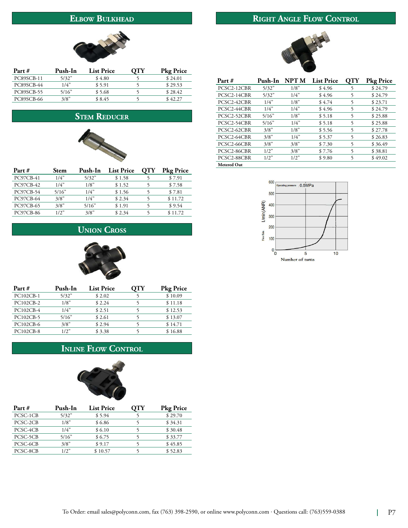#### **ELBOW BULKHEAD**

## RIGHT ANGLE FLOW CONTROL



| Part#             | Push-In | <b>List Price</b> | OTY | <b>Pkg Price</b> |
|-------------------|---------|-------------------|-----|------------------|
| PC89SCB-11        | 5/32"   | \$4.80            |     | \$24.01          |
| PC89SCB-44        | 1/4"    | \$5.91            |     | \$29.53          |
| PC89SCB-55        | 5/16"   | \$5.68            |     | \$28.42          |
| <b>PC89SCB-66</b> | 3/8"    | \$8.45            |     | \$42.27          |

## **STEM REDUCER**



| Part #           | <b>Stem</b> | Push-In | <b>List Price</b> | OTY | <b>Pkg Price</b> |
|------------------|-------------|---------|-------------------|-----|------------------|
| PC97CB-41        | 1/4"        | 5/32"   | \$1.58            |     | \$7.91           |
| PC97CB-42        | 1/4"        | 1/8"    | \$1.52            |     | \$7.58           |
| PC97CB-54        | 5/16"       | 1/4"    | \$1.56            |     | \$7.81           |
| PC97CB-64        | 3/8"        | 1/4"    | \$2.34            |     | \$11.72          |
| PC97CB-65        | 3/8"        | 5/16"   | \$1.91            |     | \$9.54           |
| <b>PC97CB-86</b> | 1/2"        | 3/8"    | \$2.34            |     | \$11.72          |

## **UNION CROSS**



| Part #           | Push-In | <b>List Price</b> | ЭTY | <b>Pkg Price</b> |
|------------------|---------|-------------------|-----|------------------|
| PC102CB-1        | 5/32"   | \$2.02            |     | \$10.09          |
| PC102CB-2        | 1/8"    | \$2.24            |     | \$11.18          |
| PC102CB-4        | 1/4"    | \$2.51            |     | \$12.53          |
| PC102CB-5        | 5/16"   | \$2.61            |     | \$13.07          |
| PC102CB-6        | 3/8"    | \$2.94            |     | \$14.71          |
| <b>PC102CB-8</b> | 1/2"    | \$3.38            |     | \$16.88          |
|                  |         |                   |     |                  |

#### **INLINE FLOW CONTROL**



| Part #   | Push-In | <b>List Price</b> | OTY | <b>Pkg Price</b> |
|----------|---------|-------------------|-----|------------------|
| PCSC-1CB | 5/32"   | \$5.94            |     | \$29.70          |
| PCSC-2CB | 1/8"    | \$6.86            |     | \$34.31          |
| PCSC-4CB | 1/4"    | \$6.10            |     | \$30.48          |
| PCSC-5CB | 5/16"   | \$6.75            |     | \$33.77          |
| PCSC-6CB | 3/8"    | \$9.17            |     | \$45.85          |
| PCSC-8CB | 1/2"    | \$10.57           |     | \$52.83          |



| Part #             | Push-In | NPT M | <b>List Price</b> | OTY | <b>Pkg Price</b> |
|--------------------|---------|-------|-------------------|-----|------------------|
| PCSC2-12CBR        | 5/32"   | 1/8"  | \$4.96            | 5   | \$24.79          |
| PCSC2-14CBR        | 5/32"   | 1/4"  | \$4.96            | 5   | \$24.79          |
| PCSC2-42CBR        | 1/4"    | 1/8"  | \$4.74            | 5   | \$23.71          |
| PCSC2-44CBR        | 1/4"    | 1/4"  | \$4.96            | 5   | \$24.79          |
| PCSC2-52CBR        | 5/16"   | 1/8"  | \$5.18            | 5   | \$25.88          |
| PCSC2-54CBR        | 5/16"   | 1/4"  | \$5.18            | 5   | \$25.88          |
| PCSC2-62CBR        | 3/8"    | 1/8"  | \$5.56            | 5   | \$27.78          |
| PCSC2-64CBR        | 3/8"    | 1/4"  | \$5.37            | 5   | \$26.83          |
| PCSC2-66CBR        | 3/8"    | 3/8"  | \$7.30            | 5   | \$36.49          |
| PCSC2-86CBR        | 1/2"    | 3/8"  | \$7.76            | 5   | \$38.81          |
| PCSC2-88CBR        | 1/2"    | 1/2"  | \$9.80            | 5   | \$49.02          |
| <b>Metered Out</b> |         |       |                   |     |                  |

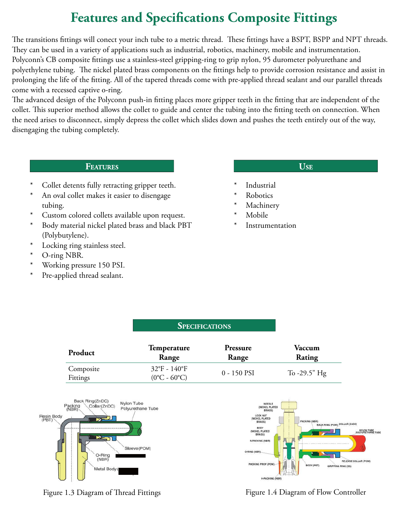## **Features and Specifications Composite Fittings**

The transitions fittings will conect your inch tube to a metric thread. These fittings have a BSPT, BSPP and NPT threads. They can be used in a variety of applications such as industrial, robotics, machinery, mobile and instrumentation. Polyconn's CB composite ttings use a stainless-steel gripping-ring to grip nylon, 95 durometer polyurethane and polyethylene tubing. The nickel plated brass components on the fittings help to provide corrosion resistance and assist in prolonging the life of the fitting. All of the tapered threads come with pre-applied thread sealant and our parallel threads come with a recessed captive o-ring.

The advanced design of the Polyconn push-in fitting places more gripper teeth in the fitting that are independent of the collet. This superior method allows the collet to guide and center the tubing into the fitting teeth on connection. When the need arises to disconnect, simply depress the collet which slides down and pushes the teeth entirely out of the way, disengaging the tubing completely.

#### **FEATURES**

- Collet detents fully retracting gripper teeth.
- \* An oval collet makes it easier to disengage tubing.
- \* Custom colored collets available upon request.
- \* Body material nickel plated brass and black PBT (Polybutylene).
- \* Locking ring stainless steel.
- \* O-ring NBR.
- Working pressure 150 PSI.
- \* Pre-applied thread sealant.

#### **USE**

- **Industrial**
- **Robotics**
- **Machinery**
- Mobile
- Instrumentation

|                       |                                                              | 91.00110110110    |                  |  |
|-----------------------|--------------------------------------------------------------|-------------------|------------------|--|
| Product               | <b>Temperature</b><br>Range                                  | Pressure<br>Range | Vaccum<br>Rating |  |
| Composite<br>Fittings | $32^{\circ}F - 140^{\circ}F$<br>$(0^{\circ}C - 60^{\circ}C)$ | 0 - 150 PSI       | To $-29.5$ " Hg  |  |

**SPECIFICATIONS** 





Figure 1.3 Diagram of Thread Fittings Figure 1.4 Diagram of Flow Controller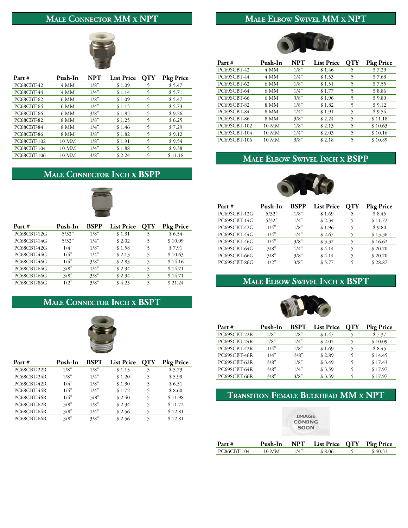## MALE CONNECTOR MM X NPT

## MALE ELBOW SWIVEL MM X NPT



| Part #            | Push-In | NPT  | <b>List Price</b> | OTY | <b>Pkg Price</b> |
|-------------------|---------|------|-------------------|-----|------------------|
| PC68CBT-42        | 4 MM    | 1/8" | \$1.09            | 5   | \$5.47           |
| PC68CBT-44        | 4 MM    | 1/4" | \$1.14            | 5   | \$5.71           |
| <b>PC68CBT-62</b> | 6 MM    | 1/8" | \$1.09            | 5   | \$5.47           |
| PC68CBT-64        | 6 MM    | 1/4" | \$1.15            | 5   | \$5.73           |
| <b>PC68CBT-66</b> | 6 MM    | 3/8" | \$1.85            | 5   | \$9.26           |
| <b>PC68CBT-82</b> | 8 MM    | 1/8" | \$1.25            | 5   | \$6.25           |
| PC68CBT-84        | 8 MM    | 1/4" | \$1.46            | 5   | \$7.29           |
| <b>PC68CBT-86</b> | 8 MM    | 3/8" | \$1.82            | 5   | \$9.12           |
| PC68CBT-102       | 10 MM   | 1/8" | \$1.91            | 5   | \$9.54           |
| PC68CBT-104       | 10 MM   | 1/4" | \$1.88            | 5   | \$9.38           |
| PC68CBT-106       | 10 MM   | 3/8" | \$2.24            | 5   | \$11.18          |

## MALE CONNECTOR INCH X BSPP



| Part #      | Push-In | <b>BSPP</b> | <b>List Price</b> | OTY | <b>Pkg Price</b> |
|-------------|---------|-------------|-------------------|-----|------------------|
| PC68CBT-12G | 5/32"   | 1/8"        | \$1.31            |     | \$6.54           |
| PC68CBT-14G | 5/32"   | 1/4"        | \$2.02            |     | \$10.09          |
| PC68CBT-42G | 1/4"    | 1/8"        | \$1.58            |     | \$7.91           |
| PC68CBT-44G | 1/4"    | 1/4"        | \$2.13            |     | \$10.63          |
| PC68CBT-46G | 1/4"    | 3/8"        | \$2.83            |     | \$14.16          |
| PC68CBT-64G | 3/8"    | 1/4"        | \$2.94            |     | \$14.71          |
| PC68CBT-66G | 3/8"    | 3/8"        | \$2.94            |     | \$14.71          |
| PC68CBT-86G | 1/2"    | 3/8"        | \$4.25            |     | \$21.24          |

## MALE CONNECTOR INCH X BSPT



| Part #      | Push-In | <b>BSPT</b> | <b>List Price</b> | OTY | <b>Pkg Price</b> |
|-------------|---------|-------------|-------------------|-----|------------------|
| PC68CBT-22R | 1/8"    | 1/8"        | \$1.15            |     | \$5.73           |
| PC68CBT-24R | 1/8"    | 1/4"        | \$1.20            |     | \$5.99           |
| PC68CBT-42R | 1/4"    | 1/8"        | \$1.30            |     | \$6.51           |
| PC68CBT-44R | 1/4"    | 1/4"        | \$1.72            |     | \$8.60           |
| PC68CBT-46R | 1/4"    | 3/8"        | \$2.40            | 5   | \$11.98          |
| PC68CBT-62R | 3/8"    | 1/8"        | \$2.34            | 5   | \$11.72          |
| PC68CBT-64R | 3/8"    | 1/4"        | \$2.56            |     | \$12.81          |
| PC68CBT-66R | 3/8"    | 3/8"        | \$2.56            |     | \$12.81          |



| Part #       | Push-In | NPT  | <b>List Price</b> | OTY | <b>Pkg Price</b> |
|--------------|---------|------|-------------------|-----|------------------|
| PC69SCBT-42  | 4 MM    | 1/8" | \$1.46            |     | \$7.29           |
| PC69SCBT-44  | 4 MM    | 1/4" | \$1.53            | 5   | \$7.63           |
| PC69SCBT-62  | 6 MM    | 1/8" | \$1.51            | 5   | \$7.55           |
| PC69SCBT-64  | 6 MM    | 1/4" | \$1.77            | 5   | \$8.86           |
| PC69SCBT-66  | 6 MM    | 3/8" | \$1.96            | 5   | \$9.80           |
| PC69SCBT-82  | 8 MM    | 1/8" | \$1.82            | 5   | \$9.12           |
| PC69SCBT-84  | 8 MM    | 1/4" | \$1.91            | 5   | \$9.54           |
| PC69SCBT-86  | 8 MM    | 3/8" | \$2.24            | 5   | \$11.18          |
| PC69SCBT-102 | 10 MM   | 1/8" | \$2.13            | 5   | \$10.63          |
| PC69SCBT-104 | 10 MM   | 1/4" | \$2.03            | 5   | \$10.16          |
| PC69SCBT-106 | 10 MM   | 3/8" | \$2.18            |     | \$10.89          |

#### **MALE ELBOW SWIVEL INCH X BSPP**



| Part #       | Push-In | <b>BSPP</b> | <b>List Price</b> | <b>OTY</b> | <b>Pkg Price</b> |
|--------------|---------|-------------|-------------------|------------|------------------|
| PC69SCBT-12G | 5/32"   | 1/8"        | \$1.69            |            | \$8.45           |
| PC69SCBT-14G | 5/32"   | 1/4"        | \$2.34            | 5          | \$11.72          |
| PC69SCBT-42G | 1/4"    | 1/8"        | \$1.96            | 5          | \$9.80           |
| PC69SCBT-44G | 1/4"    | 1/4"        | \$2.67            | 5          | \$13.36          |
| PC69SCBT-46G | 1/4"    | 3/8"        | \$3.32            | 5          | \$16.62          |
| PC69SCBT-64G | 3/8"    | 1/4"        | \$4.14            | 5          | \$20.70          |
| PC69SCBT-66G | 3/8"    | 3/8"        | \$4.14            |            | \$20.70          |
| PC69SCBT-86G | 1/2"    | 3/8"        | \$5.77            | 5          | \$28.87          |

### MALE ELBOW SWIVEL INCH X BSPT



| Part #       | Push-In | <b>BSPT</b> | <b>List Price</b> | OTY | <b>Pkg Price</b> |
|--------------|---------|-------------|-------------------|-----|------------------|
| PC69SCBT-22R | 1/8"    | 1/8"        | \$1.47            |     | \$7.37           |
| PC69SCBT-24R | 1/8"    | 1/4"        | \$2.02            |     | \$10.09          |
| PC69SCBT-42R | 1/4"    | 1/8"        | \$1.69            |     | \$8.45           |
| PC69SCBT-46R | 1/4"    | 3/8"        | \$2.89            |     | \$14.45          |
| PC69SCBT-62R | 3/8"    | 1/8"        | \$3.49            |     | \$17.43          |
| PC69SCBT-64R | 3/8"    | 1/4"        | \$3.59            |     | \$17.97          |
| PC69SCBT-66R | 3/8"    | 3/8"        | \$3.59            |     | \$17.97          |

## TRANSITION FEMALE BULKHEAD MM X NPT

|  | <b>IMAGE</b><br><b>COMING</b><br><b>SOON</b> |  |
|--|----------------------------------------------|--|

| Part #      | Push-In | NPT List Price QTY Pkg Price |          |
|-------------|---------|------------------------------|----------|
| PC86CBT-104 | 10 MM   | \$8.06                       | \$ 40.31 |